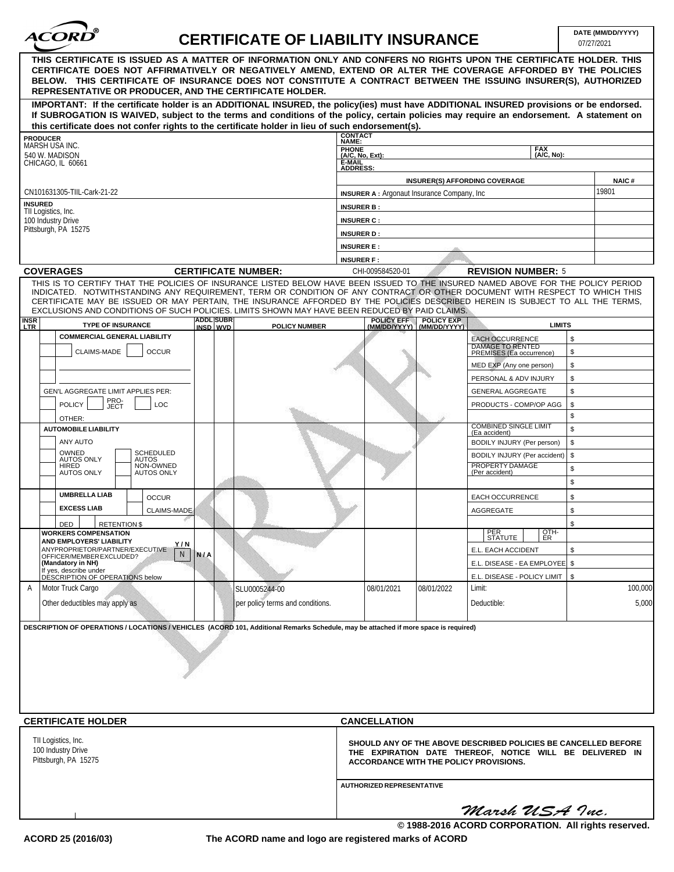

## **CERTIFICATE OF LIABILITY INSURANCE**

|                                                                                                                                                                                                                                                                                                                                                                                                                  | IN III IVATE VI EIADIEN I INJUNANVE |                                                                                                                                                                      |              |                                                     |    | 07/27/2021            |  |
|------------------------------------------------------------------------------------------------------------------------------------------------------------------------------------------------------------------------------------------------------------------------------------------------------------------------------------------------------------------------------------------------------------------|-------------------------------------|----------------------------------------------------------------------------------------------------------------------------------------------------------------------|--------------|-----------------------------------------------------|----|-----------------------|--|
| THIS CERTIFICATE IS ISSUED AS A MATTER OF INFORMATION ONLY AND CONFERS NO RIGHTS UPON THE CERTIFICATE HOLDER. THIS<br>CERTIFICATE DOES NOT AFFIRMATIVELY OR NEGATIVELY AMEND, EXTEND OR ALTER THE COVERAGE AFFORDED BY THE POLICIES<br>BELOW. THIS CERTIFICATE OF INSURANCE DOES NOT CONSTITUTE A CONTRACT BETWEEN THE ISSUING INSURER(S), AUTHORIZED<br>REPRESENTATIVE OR PRODUCER, AND THE CERTIFICATE HOLDER. |                                     |                                                                                                                                                                      |              |                                                     |    |                       |  |
| IMPORTANT: If the certificate holder is an ADDITIONAL INSURED, the policy(ies) must have ADDITIONAL INSURED provisions or be endorsed.<br>If SUBROGATION IS WAIVED, subject to the terms and conditions of the policy, certain policies may require an endorsement. A statement on<br>this certificate does not confer rights to the certificate holder in lieu of such endorsement(s).                          |                                     |                                                                                                                                                                      |              |                                                     |    |                       |  |
| <b>PRODUCER</b>                                                                                                                                                                                                                                                                                                                                                                                                  | <b>CONTACT</b>                      |                                                                                                                                                                      |              |                                                     |    |                       |  |
| MARSH USA INC.                                                                                                                                                                                                                                                                                                                                                                                                   |                                     | NAME:<br>PHONE<br>(A/C, No, Ext):<br><b>FAX</b>                                                                                                                      |              |                                                     |    |                       |  |
| 540 W. MADISON<br>CHICAGO, IL 60661                                                                                                                                                                                                                                                                                                                                                                              | È-MAIL<br>ADDRESS:                  |                                                                                                                                                                      |              | (A/C, No):                                          |    |                       |  |
|                                                                                                                                                                                                                                                                                                                                                                                                                  |                                     |                                                                                                                                                                      |              |                                                     |    |                       |  |
|                                                                                                                                                                                                                                                                                                                                                                                                                  |                                     |                                                                                                                                                                      |              | <b>INSURER(S) AFFORDING COVERAGE</b>                |    | <b>NAIC#</b><br>19801 |  |
| CN101631305-TIIL-Cark-21-22<br><b>INSURED</b>                                                                                                                                                                                                                                                                                                                                                                    |                                     | <b>INSURER A:</b> Argonaut Insurance Company, Inc.                                                                                                                   |              |                                                     |    |                       |  |
| TII Logistics, Inc.                                                                                                                                                                                                                                                                                                                                                                                              | <b>INSURER B:</b>                   |                                                                                                                                                                      |              |                                                     |    |                       |  |
| 100 Industry Drive<br>Pittsburgh, PA 15275                                                                                                                                                                                                                                                                                                                                                                       |                                     | <b>INSURER C:</b>                                                                                                                                                    |              |                                                     |    |                       |  |
|                                                                                                                                                                                                                                                                                                                                                                                                                  | <b>INSURER D:</b>                   |                                                                                                                                                                      |              |                                                     |    |                       |  |
|                                                                                                                                                                                                                                                                                                                                                                                                                  | <b>INSURER E:</b>                   |                                                                                                                                                                      |              |                                                     |    |                       |  |
|                                                                                                                                                                                                                                                                                                                                                                                                                  | <b>INSURER F:</b>                   |                                                                                                                                                                      |              |                                                     |    |                       |  |
| <b>COVERAGES</b><br><b>CERTIFICATE NUMBER:</b><br>THIS IS TO CERTIFY THAT THE POLICIES OF INSURANCE LISTED BELOW HAVE BEEN ISSUED TO THE INSURED NAMED ABOVE FOR THE POLICY PERIOD                                                                                                                                                                                                                               |                                     | CHI-009584520-01                                                                                                                                                     |              | <b>REVISION NUMBER: 5</b>                           |    |                       |  |
| INDICATED. NOTWITHSTANDING ANY REQUIREMENT, TERM OR CONDITION OF ANY CONTRACT OR OTHER DOCUMENT WITH RESPECT TO WHICH THIS<br>CERTIFICATE MAY BE ISSUED OR MAY PERTAIN, THE INSURANCE AFFORDED BY THE POLICIES DESCRIBED HEREIN IS SUBJECT TO ALL THE TERMS,<br>EXCLUSIONS AND CONDITIONS OF SUCH POLICIES. LIMITS SHOWN MAY HAVE BEEN REDUCED BY PAID CLAIMS.                                                   |                                     |                                                                                                                                                                      |              |                                                     |    |                       |  |
| <b>ADDL SUBR</b><br><b>INSR</b><br><b>TYPE OF INSURANCE</b><br>INSD WVD                                                                                                                                                                                                                                                                                                                                          | <b>POLICY NUMBER</b>                | POLICY EFF POLICY EXP<br>(MM/DD/YYYY) (MM/DD/YYYY)                                                                                                                   | (MM/DD/YYYY) | <b>LIMITS</b>                                       |    |                       |  |
| <b>COMMERCIAL GENERAL LIABILITY</b>                                                                                                                                                                                                                                                                                                                                                                              |                                     |                                                                                                                                                                      |              | <b>EACH OCCURRENCE</b>                              | \$ |                       |  |
| CLAIMS-MADE<br><b>OCCUR</b>                                                                                                                                                                                                                                                                                                                                                                                      |                                     |                                                                                                                                                                      |              | <b>DAMAGE TO RENTED</b><br>PREMISES (Ea occurrence) | \$ |                       |  |
|                                                                                                                                                                                                                                                                                                                                                                                                                  |                                     |                                                                                                                                                                      |              | MED EXP (Any one person)                            | \$ |                       |  |
|                                                                                                                                                                                                                                                                                                                                                                                                                  |                                     |                                                                                                                                                                      |              | PERSONAL & ADV INJURY                               | \$ |                       |  |
| <b>GEN'L AGGREGATE LIMIT APPLIES PER:</b>                                                                                                                                                                                                                                                                                                                                                                        |                                     |                                                                                                                                                                      |              | <b>GENERAL AGGREGATE</b>                            | \$ |                       |  |
| PRO-<br>JECT<br><b>POLICY</b><br>LOC                                                                                                                                                                                                                                                                                                                                                                             |                                     |                                                                                                                                                                      |              | PRODUCTS - COMP/OP AGG                              | \$ |                       |  |
| OTHER:                                                                                                                                                                                                                                                                                                                                                                                                           |                                     |                                                                                                                                                                      |              |                                                     | \$ |                       |  |
| <b>AUTOMOBILE LIABILITY</b>                                                                                                                                                                                                                                                                                                                                                                                      |                                     |                                                                                                                                                                      |              | COMBINED SINGLE LIMIT<br>(Ea accident)              | \$ |                       |  |
| ANY AUTO                                                                                                                                                                                                                                                                                                                                                                                                         |                                     |                                                                                                                                                                      |              | BODILY INJURY (Per person)                          | \$ |                       |  |
| OWNED<br><b>SCHEDULED</b><br><b>AUTOS ONLY</b><br>AUTOS                                                                                                                                                                                                                                                                                                                                                          |                                     |                                                                                                                                                                      |              | BODILY INJURY (Per accident)                        | \$ |                       |  |
| NON-OWNED<br>HIRED<br><b>AUTOS ONLY</b><br><b>AUTOS ONLY</b>                                                                                                                                                                                                                                                                                                                                                     |                                     |                                                                                                                                                                      |              | PROPERTY DAMAGE<br>(Per accident)                   | \$ |                       |  |
|                                                                                                                                                                                                                                                                                                                                                                                                                  |                                     |                                                                                                                                                                      |              |                                                     | \$ |                       |  |
| <b>UMBRELLA LIAB</b><br><b>OCCUR</b>                                                                                                                                                                                                                                                                                                                                                                             |                                     |                                                                                                                                                                      |              | EACH OCCURRENCE                                     | \$ |                       |  |
| <b>EXCESS LIAB</b><br>CLAIMS-MADE                                                                                                                                                                                                                                                                                                                                                                                |                                     |                                                                                                                                                                      |              | AGGREGATE                                           | \$ |                       |  |
| DED<br><b>RETENTION \$</b>                                                                                                                                                                                                                                                                                                                                                                                       |                                     |                                                                                                                                                                      |              |                                                     | \$ |                       |  |
| <b>WORKERS COMPENSATION</b>                                                                                                                                                                                                                                                                                                                                                                                      |                                     |                                                                                                                                                                      |              | PER<br>STATUTE<br>OTH-<br>ER                        |    |                       |  |
| AND EMPLOYERS' LIABILITY<br>Y/N<br>ANYPROPRIETOR/PARTNER/EXECUTIVE                                                                                                                                                                                                                                                                                                                                               |                                     |                                                                                                                                                                      |              | E.L. EACH ACCIDENT                                  | \$ |                       |  |
| N<br><b>N/A</b><br>OFFICER/MEMBER EXCLUDED?<br>(Mandatory in NH)                                                                                                                                                                                                                                                                                                                                                 |                                     |                                                                                                                                                                      |              | E.L. DISEASE - EA EMPLOYEE   \$                     |    |                       |  |
| If yes, describe under<br>DESCRIPTION OF OPERATIONS below                                                                                                                                                                                                                                                                                                                                                        |                                     |                                                                                                                                                                      |              | E.L. DISEASE - POLICY LIMIT   \$                    |    |                       |  |
| Motor Truck Cargo<br>A                                                                                                                                                                                                                                                                                                                                                                                           | SLU0005244-00                       | 08/01/2021                                                                                                                                                           | 08/01/2022   | Limit:                                              |    | 100,000               |  |
| Other deductibles may apply as                                                                                                                                                                                                                                                                                                                                                                                   | per policy terms and conditions.    |                                                                                                                                                                      |              | Deductible:                                         |    | 5,000                 |  |
| DESCRIPTION OF OPERATIONS / LOCATIONS / VEHICLES (ACORD 101, Additional Remarks Schedule, may be attached if more space is required)                                                                                                                                                                                                                                                                             |                                     |                                                                                                                                                                      |              |                                                     |    |                       |  |
|                                                                                                                                                                                                                                                                                                                                                                                                                  |                                     |                                                                                                                                                                      |              |                                                     |    |                       |  |
|                                                                                                                                                                                                                                                                                                                                                                                                                  |                                     |                                                                                                                                                                      |              |                                                     |    |                       |  |
|                                                                                                                                                                                                                                                                                                                                                                                                                  |                                     |                                                                                                                                                                      |              |                                                     |    |                       |  |
|                                                                                                                                                                                                                                                                                                                                                                                                                  |                                     |                                                                                                                                                                      |              |                                                     |    |                       |  |
| <b>CERTIFICATE HOLDER</b>                                                                                                                                                                                                                                                                                                                                                                                        |                                     | <b>CANCELLATION</b>                                                                                                                                                  |              |                                                     |    |                       |  |
|                                                                                                                                                                                                                                                                                                                                                                                                                  |                                     |                                                                                                                                                                      |              |                                                     |    |                       |  |
| TII Logistics, Inc.<br>100 Industry Drive<br>Pittsburgh, PA 15275                                                                                                                                                                                                                                                                                                                                                |                                     | SHOULD ANY OF THE ABOVE DESCRIBED POLICIES BE CANCELLED BEFORE<br>THE EXPIRATION DATE THEREOF, NOTICE WILL BE DELIVERED IN<br>ACCORDANCE WITH THE POLICY PROVISIONS. |              |                                                     |    |                       |  |
|                                                                                                                                                                                                                                                                                                                                                                                                                  |                                     | <b>AUTHORIZED REPRESENTATIVE</b>                                                                                                                                     |              |                                                     |    |                       |  |
|                                                                                                                                                                                                                                                                                                                                                                                                                  |                                     |                                                                                                                                                                      |              | Marsh USA Inc.                                      |    |                       |  |

**The ACORD name and logo are registered marks of ACORD**

**© 1988-2016 ACORD CORPORATION. All rights reserved.**